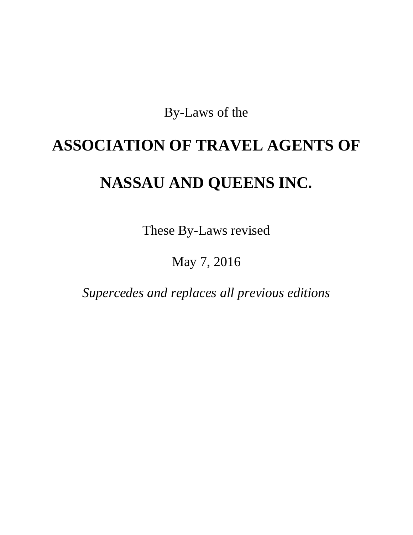By-Laws of the

# **ASSOCIATION OF TRAVEL AGENTS OF NASSAU AND QUEENS INC.**

These By-Laws revised

# May 7, 2016

*Supercedes and replaces all previous editions*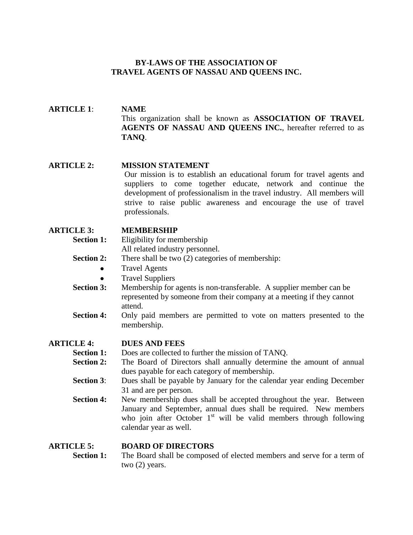# **BY-LAWS OF THE ASSOCIATION OF TRAVEL AGENTS OF NASSAU AND QUEENS INC.**

#### **ARTICLE 1**: **NAME** This organization shall be known as **ASSOCIATION OF TRAVEL AGENTS OF NASSAU AND QUEENS INC.**, hereafter referred to as **TANQ**.

#### **ARTICLE 2: MISSION STATEMENT**

Our mission is to establish an educational forum for travel agents and suppliers to come together educate, network and continue the development of professionalism in the travel industry. All members will strive to raise public awareness and encourage the use of travel professionals.

#### **ARTICLE 3: MEMBERSHIP**

- **Section 1:** Eligibility for membership All related industry personnel.
- **Section 2:** There shall be two (2) categories of membership:
	- Travel Agents
	- Travel Suppliers
- **Section 3:** Membership for agents is non-transferable. A supplier member can be represented by someone from their company at a meeting if they cannot attend.
- **Section 4:** Only paid members are permitted to vote on matters presented to the membership.

#### **ARTICLE 4: DUES AND FEES**

- **Section 1:** Does are collected to further the mission of TANQ.
- **Section 2:** The Board of Directors shall annually determine the amount of annual dues payable for each category of membership.
- **Section 3**: Dues shall be payable by January for the calendar year ending December 31 and are per person.
- **Section 4:** New membership dues shall be accepted throughout the year. Between January and September, annual dues shall be required. New members who join after October  $1<sup>st</sup>$  will be valid members through following calendar year as well.

# **ARTICLE 5: BOARD OF DIRECTORS**

**Section 1:** The Board shall be composed of elected members and serve for a term of two (2) years.